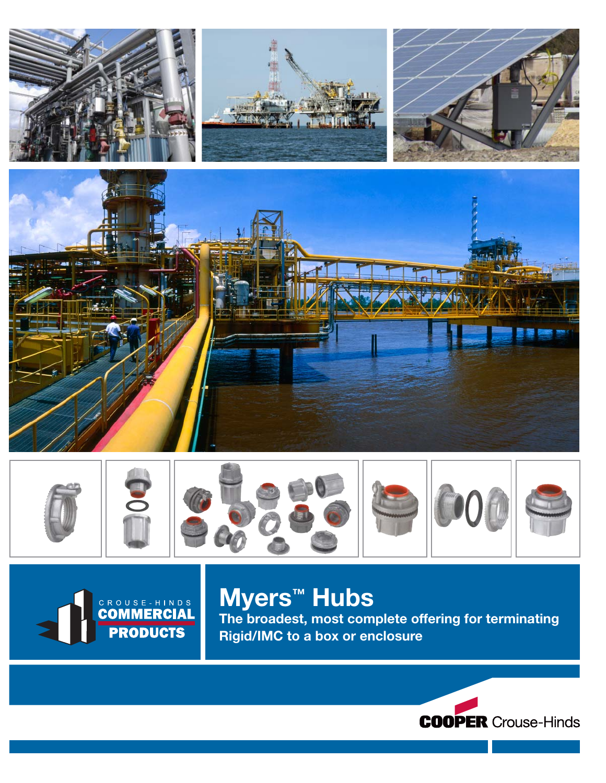





# Myers™ Hubs

CROUSE-HINDS

**PRODUCTS** 

The broadest, most complete offering for terminating Rigid/IMC to a box or enclosure

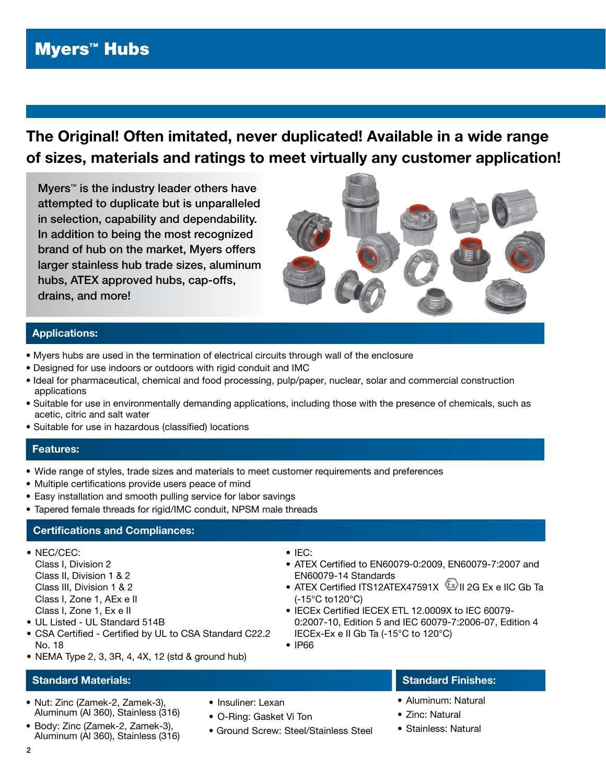# Myers™ Hubs

# The Original! Often imitated, never duplicated! Available in a wide range of sizes, materials and ratings to meet virtually any customer application!

Myers<sup>™</sup> is the industry leader others have attempted to duplicate but is unparalleled in selection, capability and dependability. In addition to being the most recognized brand of hub on the market, Myers offers larger stainless hub trade sizes, aluminum hubs, ATEX approved hubs, cap-offs, drains, and more!



## Applications:

- Myers hubs are used in the termination of electrical circuits through wall of the enclosure
- Designed for use indoors or outdoors with rigid conduit and IMC
- Ideal for pharmaceutical, chemical and food processing, pulp/paper, nuclear, solar and commercial construction applications
- Suitable for use in environmentally demanding applications, including those with the presence of chemicals, such as acetic, citric and salt water
- Suitable for use in hazardous (classified) locations

#### Features:

- Wide range of styles, trade sizes and materials to meet customer requirements and preferences
- Multiple certifications provide users peace of mind
- Easy installation and smooth pulling service for labor savings
- Tapered female threads for rigid/IMC conduit, NPSM male threads

#### **Certifications and Compliances:**

- NEC/CEC:
	- Class I, Division 2 Class II, Division 1 & 2 Class III, Division 1 & 2 Class I, Zone 1, AEx e II
- Class I, Zone 1, Ex e II
- UL Listed UL Standard 514B
- CSA Certified Certified by UL to CSA Standard C22.2 No. 18
- NEMA Type 2, 3, 3R, 4, 4X, 12 (std & ground hub)

#### Standard Materials:

- Nut: Zinc (Zamek-2, Zamek-3), Aluminum (Al 360), Stainless (316)
- Body: Zinc (Zamek-2, Zamek-3), Aluminum (Al 360), Stainless (316)

• ATEX Certified to EN60079-0:2009, EN60079-7:2007 and

• IEC:

- EN60079-14 Standards • ATEX Certified ITS12ATEX47591X 2G Ex e IIC Gb Ta
- (-15°C to120°C) • IECEx Certified IECEX ETL 12.0009X to IEC 60079-0:2007-10, Edition 5 and IEC 60079-7:2006-07, Edition 4
	- IECEx-Ex e II Gb Ta (-15°C to 120°C)
- IP66

- Standard Finishes:
- Aluminum: Natural
- Zinc: Natural
- Stainless: Natural
- Insuliner: Lexan
- O-Ring: Gasket Vi Ton
- Ground Screw: Steel/Stainless Steel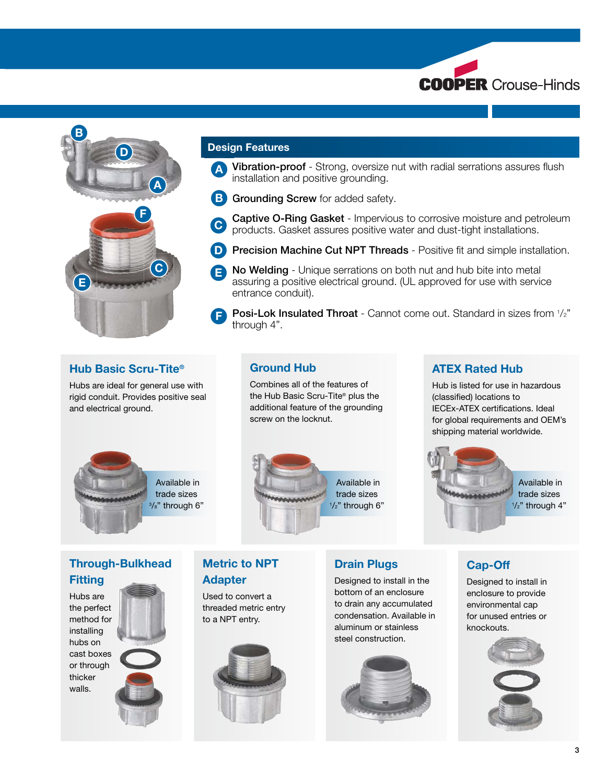



#### Design Features

- A Vibration-proof Strong, oversize nut with radial serrations assures flush installation and positive grounding. i
- **B** Grounding Screw for added safety.
- Captive O-Ring Gasket Impervious to corrosive moisture and petroleum **Captive O-Ring Gasket** - Impervious to corrosive moisture and pet<br>products. Gasket assures positive water and dust-tight installations.
- **D** Precision Machine Cut NPT Threads Positive fit and simple installation.
- **B** No Welding Unique serrations on both nut and hub bite into metal assuring a positive electrical ground. (UL approved for use with service a entrance conduit).
- Posi-Lok Insulated Throat Cannot come out. Standard in sizes from  $1/z$ " through 4". F

#### Hub Basic Scru-Tite®

Hubs are ideal for general use with rigid conduit. Provides positive seal and electrical ground.

> Available in trade sizes <sup>3</sup>/<sub>8</sub>" through 6"



Combines all of the features of the Hub Basic Scru-Tite® plus the additional feature of the grounding

Ground Hub

screw on the locknut.

## ATEX Rated Hub

Hub is listed for use in hazardous (classified) locations to IECEx-ATEX certifications. Ideal for global requirements and OEM's shipping material worldwide.



## Through-Bulkhead **Fitting**

Hubs are the perfect method for installing hubs on cast boxes or through thicker walls.



## Metric to NPT Adapter

Used to convert a threaded metric entry to a NPT entry.



## Drain Plugs

Designed to install in the bottom of an enclosure to drain any accumulated condensation. Available in aluminum or stainless steel construction.



## Cap-Off

Designed to install in enclosure to provide environmental cap for unused entries or knockouts.

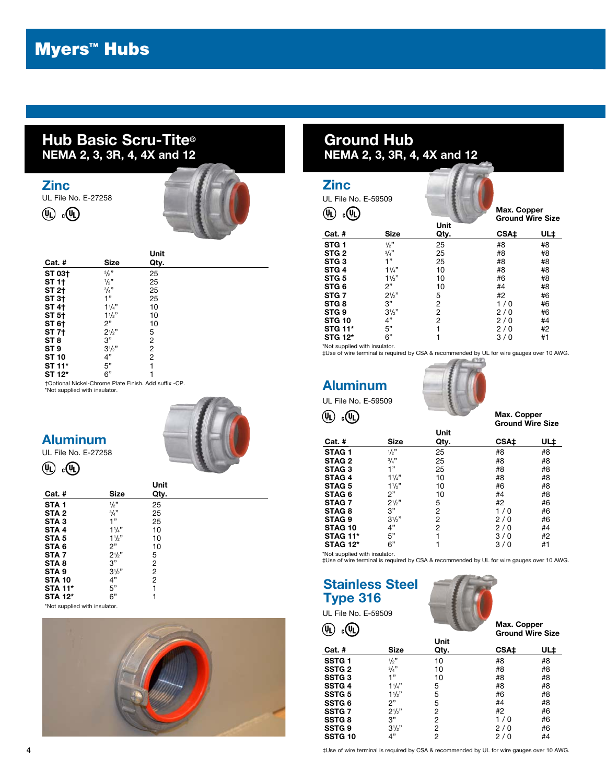# Hub Basic Scru-Tite® NEMA 2, 3, 3R, 4, 4X and 12

#### Zinc

UL File No. E-27258





| Cat. #          | Size           | Unit<br>Qty.   |
|-----------------|----------------|----------------|
| ST 03+          | 3/8"           | 25             |
| ST 1†           | $\frac{1}{2}$  | 25             |
| ST 2+           | 3/4"           | 25             |
| ST 3†           | 1"             | 25             |
| <b>ST 4+</b>    | $1\frac{1}{4}$ | 10             |
| ST 5†           | 11/2"          | 10             |
| ST 6†           | 2"             | 10             |
| ST 7†           | $2^{1/2}$      | 5              |
| ST 8            | 3"             | $\overline{c}$ |
| ST <sub>9</sub> | $3^{1/2}$ "    | 2              |
| <b>ST 10</b>    | 4"             | 2              |
| ST 11*          | 5"             | 1              |
| ST 12*          | 6"             |                |

†Optional Nickel-Chrome Plate Finish. Add suffix -CP. \*Not supplied with insulator.

# Aluminum

UL File No. E-27258

 $(\mathbb{Q})$   $_{c}(\mathbb{Q})$ 



|                  |                 | Unit |
|------------------|-----------------|------|
| $Cat.$ #         | Size            | Qty. |
| STA <sub>1</sub> | $\frac{1}{2}$ " | 25   |
| STA <sub>2</sub> | 3/4"            | 25   |
| STA <sub>3</sub> | 1"              | 25   |
| STA <sub>4</sub> | $1\frac{1}{4}$  | 10   |
| STA <sub>5</sub> | 11/2            | 10   |
| STA 6            | 2"              | 10   |
| STA <sub>7</sub> | $2^{1/2}$       | 5    |
| STA <sub>8</sub> | 3"              | 2    |
| STA <sub>9</sub> | $3^{1/2}$ "     | 2    |
| <b>STA 10</b>    | 4"              | 2    |
| <b>STA 11*</b>   | 5"              | 1    |
| <b>STA 12*</b>   | 6"              |      |

\*Not supplied with insulator.



# Ground Hub NEMA 2, 3, 3R, 4, 4X and 12

| <b>Zinc</b><br>UL File No. E-59509 |                | Unit           | Max. Copper<br><b>Ground Wire Size</b> |     |
|------------------------------------|----------------|----------------|----------------------------------------|-----|
| <b>Cat. #</b>                      | Size           | Qty.           | CSA <sup>+</sup>                       | UL‡ |
| STG <sub>1</sub>                   | 1/2"           | 25             | #8                                     | #8  |
| STG <sub>2</sub>                   | 3/4"           | 25             | #8                                     | #8  |
| STG <sub>3</sub>                   | 1"             | 25             | #8                                     | #8  |
| STG 4                              | 11/4"          | 10             | #8                                     | #8  |
| STG <sub>5</sub>                   | 11/2"          | 10             | #6                                     | #8  |
| STG 6                              | 2"             | 10             | #4                                     | #8  |
| STG 7                              | $2^{1/2}$ "    | 5              | #2                                     | #6  |
| STG <sub>8</sub>                   | 3"             | 2              | 1/0                                    | #6  |
| STG 9                              | $3\frac{1}{2}$ | $\overline{2}$ | 2/0                                    | #6  |
| <b>STG 10</b>                      | 4"             | $\overline{2}$ | 2/0                                    | #4  |
| <b>STG 11*</b>                     | 5"             | 1              | 2/0                                    | #2  |
| <b>STG 12*</b>                     | 6"             |                | 3/0                                    | #1  |
| *Nlat aupplied with inquirer       |                |                |                                        |     |

\*Not supplied with insulator. ‡Use of wire terminal is required by CSA & recommended by UL for wire gauges over 10 AWG.

Aluminum UL File No. E-59509

 $\circledR$   $\circledR$ 



| Max. Copper             |  |
|-------------------------|--|
| <b>Ground Wire Size</b> |  |

|                   |                | Unit           |      |     |
|-------------------|----------------|----------------|------|-----|
| $Cat.$ #          | <b>Size</b>    | Qty.           | CSA‡ | UL‡ |
| STAG <sub>1</sub> | 1/2"           | 25             | #8   | #8  |
| STAG <sub>2</sub> | 3/4"           | 25             | #8   | #8  |
| <b>STAG3</b>      | 1"             | 25             | #8   | #8  |
| STAG <sub>4</sub> | $1\frac{1}{4}$ | 10             | #8   | #8  |
| STAG <sub>5</sub> | $1\frac{1}{2}$ | 10             | #6   | #8  |
| STAG <sub>6</sub> | 2"             | 10             | #4   | #8  |
| <b>STAG7</b>      | $2^{1/2}$      | 5              | #2   | #6  |
| <b>STAG 8</b>     | 3"             | 2              | 1/0  | #6  |
| STAG <sub>9</sub> | $3^{1/2}$ "    | $\overline{2}$ | 2/0  | #6  |
| STAG 10           | 4"             | $\overline{2}$ | 2/0  | #4  |
| <b>STAG 11*</b>   | 5"             | 1              | 3/0  | #2  |
| <b>STAG 12*</b>   | 6"             |                | 3/0  | #1  |

\*Not supplied with insulator. ‡Use of wire terminal is required by CSA & recommended by UL for wire gauges over 10 AWG.

# Stainless Steel Type 316

UL File No. E-59509

 $\circledR$  . $\circledR$ 



Max. Copper Ground Wire Size

|                   |                | Unit           |      |     |
|-------------------|----------------|----------------|------|-----|
| Cat. #            | <b>Size</b>    | Qty.           | CSA‡ | UL‡ |
| SSTG <sub>1</sub> | 1/2"           | 10             | #8   | #8  |
| SSTG <sub>2</sub> | 3/4"           | 10             | #8   | #8  |
| <b>SSTG3</b>      | 1"             | 10             | #8   | #8  |
| <b>SSTG4</b>      | $1\frac{1}{4}$ | 5              | #8   | #8  |
| <b>SSTG5</b>      | 11/2"          | 5              | #6   | #8  |
| <b>SSTG6</b>      | 2"             | 5              | #4   | #8  |
| SSTG <sub>7</sub> | $2\frac{1}{2}$ | 2              | #2   | #6  |
| <b>SSTG8</b>      | 3"             | 2              | 1/0  | #6  |
| <b>SSTG 9</b>     | $3\frac{1}{2}$ | $\overline{2}$ | 2/0  | #6  |
| <b>SSTG 10</b>    | 4"             | 2              | 2/0  | #4  |

‡Use of wire terminal is required by CSA & recommended by UL for wire gauges over 10 AWG.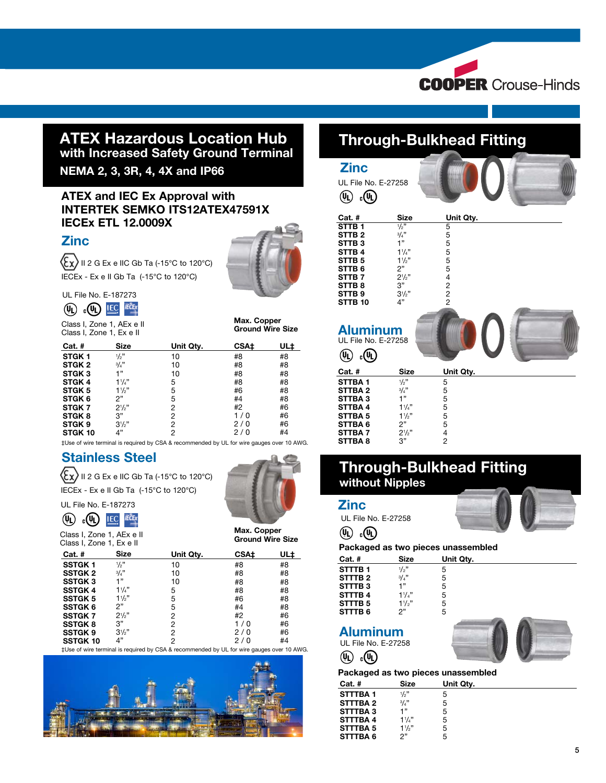

## ATEX Hazardous Location Hub with Increased Safety Ground Terminal

NEMA 2, 3, 3R, 4, 4X and IP66

## ATEX and IEC Ex Approval with INTERTEK SEMKO ITS12ATEX47591X IECEx ETL 12.0009X

## **Zinc**

 $\langle \xi_{\text{X}} \rangle$  II 2 G Ex e IIC Gb Ta (-15°C to 120°C) IECEx - Ex e II Gb Ta (-15°C to 120°C)



## UL File No. E-187273  $(\mathbf{u})$   $_{c}(\mathbf{u})$  IEC RECEX

Class I, Zone 1, AEx e II Class I, Zone 1, Ex e II

#### Max. Copper Ground Wire Size

| Cat. #            | Size           | Unit Qty. | <b>CSA±</b> | UL‡ |
|-------------------|----------------|-----------|-------------|-----|
| STGK <sub>1</sub> | 1/2"           | 10        | #8          | #8  |
| STGK <sub>2</sub> | 3/4"           | 10        | #8          | #8  |
| STGK <sub>3</sub> | 1"             | 10        | #8          | #8  |
| STGK <sub>4</sub> | 11/4"          | 5         | #8          | #8  |
| STGK <sub>5</sub> | $1\frac{1}{2}$ | 5         | #6          | #8  |
| STGK 6            | 2"             | 5         | #4          | #8  |
| STGK <sub>7</sub> | $2\frac{1}{2}$ | 2         | #2          | #6  |
| STGK <sub>8</sub> | 3"             | 2         | 1/0         | #6  |
| STGK 9            | $3\frac{1}{2}$ | 2         | 2/0         | #6  |
| STGK 10           | 4"             | 2         | 2/0         | #4  |

‡Use of wire terminal is required by CSA & recommended by UL for wire gauges over 10 AWG.

# Stainless Steel

 $\langle \xi_{\mathbf{X}} \rangle$  II 2 G Ex e IIC Gb Ta (-15°C to 120°C) IECEx - Ex e II Gb Ta (-15°C to 120°C)



Ground Wire Size

 $(\psi_L)$   $_{c}(\psi_L)$  IEC IECEX

Class I, Zone 1, AEx e II Class I, Zone 1, Ex e II

UL File No. E-187273

| <b>Size</b>    | Unit Qty. | <b>CSA±</b> | UL‡ |
|----------------|-----------|-------------|-----|
| 1/2"           | 10        | #8          | #8  |
| 3/4"           | 10        | #8          | #8  |
| 1"             | 10        | #8          | #8  |
| $11_{4}$       | 5         | #8          | #8  |
| $1\frac{1}{2}$ | 5         | #6          | #8  |
| 2"             | 5         | #4          | #8  |
| 21/2"          | 2         | #2          | #6  |
| 3"             | 2         | 1/0         | #6  |
| $3\frac{1}{2}$ | 2         | 2/0         | #6  |
| 4"             | 2         | 2/0         | #4  |
|                |           |             |     |

‡Use of wire terminal is required by CSA & recommended by UL for wire gauges over 10 AWG.



# Through-Bulkhead Fitting

| <b>Zinc</b><br>UL File No. E-27258<br>$_{\rm e}$ (મિ<br>$\left(\!\left(\!\left[0\right]\!\right)\!\right)$                             |                                                                                   |                                                              |  |
|----------------------------------------------------------------------------------------------------------------------------------------|-----------------------------------------------------------------------------------|--------------------------------------------------------------|--|
| Cat. #                                                                                                                                 | <b>Size</b>                                                                       | Unit Qty.                                                    |  |
| STTB <sub>1</sub>                                                                                                                      | 1/2"                                                                              | 5                                                            |  |
| STTB <sub>2</sub>                                                                                                                      | 3/4"                                                                              |                                                              |  |
| STTB <sub>3</sub>                                                                                                                      | 1"                                                                                |                                                              |  |
| STTB <sub>4</sub>                                                                                                                      | $11_{4}$                                                                          |                                                              |  |
| STTB <sub>5</sub><br>STTB <sub>6</sub>                                                                                                 | 11/2"<br>2"                                                                       |                                                              |  |
| STTB <sub>7</sub>                                                                                                                      | $2^{1/2"}$                                                                        |                                                              |  |
| STTB <sub>8</sub>                                                                                                                      | 3"                                                                                | 55554222                                                     |  |
| STTB <sub>9</sub>                                                                                                                      | 31/2"                                                                             |                                                              |  |
| STTB <sub>10</sub>                                                                                                                     | 4"                                                                                |                                                              |  |
| <b>Aluminum</b><br>UL File No. E-27258<br>$_{c}$ (h<br>(JL)                                                                            |                                                                                   |                                                              |  |
| Cat. #                                                                                                                                 | <b>Size</b>                                                                       | Unit Qty.                                                    |  |
| STTBA <sub>1</sub><br>STTBA <sub>2</sub><br>STTBA3<br>STTBA 4<br>STTBA <sub>5</sub><br><b>STTBA6</b><br><b>STTBA7</b><br><b>STTBA8</b> | $\frac{1}{2}$ "<br>3/4"<br>1"<br>$1\frac{1}{4}$<br>11/2"<br>2"<br>$2^{1/2}$<br>3" | 5<br>5555<br>5<br>$\overline{\mathcal{L}}$<br>$\overline{2}$ |  |

# Through-Bulkhead Fitting without Nipples



#### Packaged as two pieces unassembled

| --             |                |           |  |
|----------------|----------------|-----------|--|
| $Cat.$ #       | <b>Size</b>    | Unit Qty. |  |
| <b>STTTBA1</b> | 1/2"           | 5         |  |
| STTTBA 2       | 3/4"           | 5         |  |
| STTTBA3        | 1"             | 5         |  |
| <b>STTTBA4</b> | $11_{4}$       | 5         |  |
| STTTBA 5       | $1\frac{1}{2}$ | 5         |  |
| STTTBA6        | יפ             | 5         |  |
|                |                |           |  |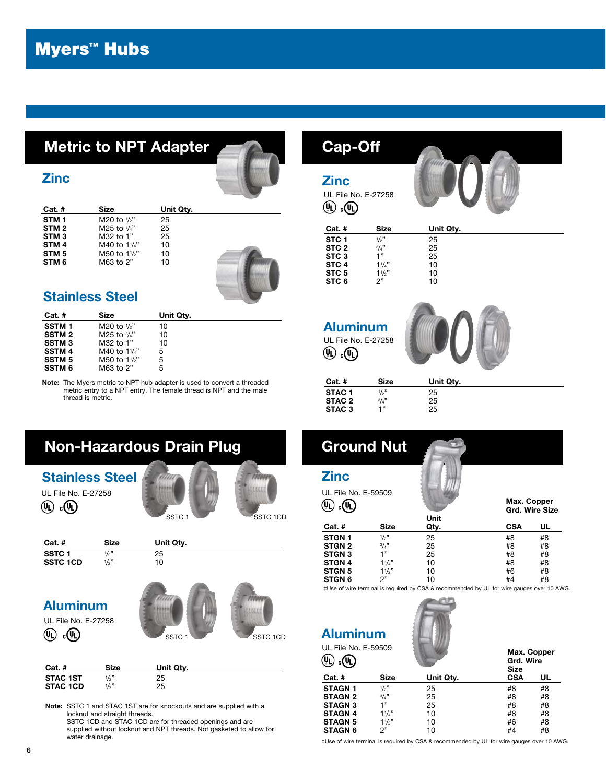# Myers™ Hubs

# Metric to NPT Adapter



## **Zinc**

| Cat. #           | Size                    | Unit Qty. |
|------------------|-------------------------|-----------|
| STM 1            | M20 to $\frac{1}{2}$ "  | 25        |
| STM <sub>2</sub> | M25 to $\frac{3}{4}$ "  | 25        |
| STM <sub>3</sub> | M32 to 1"               | 25        |
| STM <sub>4</sub> | M40 to $1\frac{1}{4}$ " | 10        |
| STM <sub>5</sub> | M50 to 11/2"            | 10        |
| STM 6            | M63 to 2"               | 10        |
|                  |                         |           |



# Stainless Steel

| $Cat.$ #      | Size                   | Unit Qty. |  |
|---------------|------------------------|-----------|--|
| <b>SSTM1</b>  | M20 to $\frac{1}{2}$   | 10        |  |
| <b>SSTM2</b>  | M25 to $\frac{3}{4}$ " | 10        |  |
| <b>SSTM3</b>  | M32 to 1"              | 10        |  |
| <b>SSTM4</b>  | M40 to 11/4"           | 5         |  |
| <b>SSTM 5</b> | M50 to 11/2"           | 5         |  |
| <b>SSTM 6</b> | M63 to 2"              | 5         |  |

Note: The Myers metric to NPT hub adapter is used to convert a threaded metric entry to a NPT entry. The female thread is NPT and the male thread is metric.

#### **Zinc** UL File No. E-27258  $\mathbb{Q}$ . $\mathbb{Q}$ Cat. # Size Unit Qty. **STC 1**  $\frac{1}{2}$ <br>**STC 2**  $\frac{3}{4}$ 25 STC 2  $\frac{3}{4}$ <br>STC 3 1"  $25$ <br> $25$ **STC 3**  $1"$ <br>**STC 4**  $1'4"$ **STC 4**  $1^{1/4}$ "<br>**STC 5**  $1^{1/2}$ "  $10$ STC 5 1<sup>1</sup>/<sub>3</sub><br>STC 6 2<sup>"</sup>  $10$ <br> $10$ STC 6 Aluminum UL File No. E-27258  $\left(\mathbb{Q}\right)$   $_{\rm c}$   $\left(\mathbb{Q}\right)$ Cat. # Size Unit Qty. STAC 1  $\frac{1}{2}$  $/_{2}$ " 25

| ------            | ----- | -------- |  |
|-------------------|-------|----------|--|
| STAC <sub>1</sub> | 1/2"  | 25       |  |
| STAC 2            | 3/4"  | 25       |  |
| STAC <sub>3</sub> | -199  | 25       |  |
|                   |       |          |  |



# Aluminum

UL File No. E-27258  $(\Psi)$   $_{c}(\Psi)$ 



| $Cat.$ #        | Size            | Unit Qty. |
|-----------------|-----------------|-----------|
| <b>STAC 1ST</b> | 1/2"            | 25        |
| <b>STAC 1CD</b> | $\frac{1}{2}$ " | 25        |

Note: SSTC 1 and STAC 1ST are for knockouts and are supplied with a locknut and straight threads. SSTC 1CD and STAC 1CD are for threaded openings and are supplied without locknut and NPT threads. Not gasketed to allow for water drainage.

# Ground Nut

Cap-Off

**Zi** 

| <b>Zinc</b>                |          |      |                               |    |  |  |
|----------------------------|----------|------|-------------------------------|----|--|--|
| UL File No. E-59509<br>(Uı |          |      | Max. Copper<br>Grd. Wire Size |    |  |  |
|                            |          | Unit |                               |    |  |  |
| <b>Cat. #</b>              | Size     | Qty. | <b>CSA</b>                    | UL |  |  |
| STGN <sub>1</sub>          | 1/2"     | 25   | #8                            | #8 |  |  |
| <b>STGN 2</b>              | 3/4"     | 25   | #8                            | #8 |  |  |
| <b>STGN 3</b>              | 1"       | 25   | #8                            | #8 |  |  |
| <b>STGN 4</b>              | $11_{4}$ | 10   | #8                            | #8 |  |  |
| <b>STGN 5</b>              | 11/2"    | 10   | #6                            | #8 |  |  |
| <b>STGN 6</b>              | 2"       | 10   | #4                            | #8 |  |  |

‡Use of wire terminal is required by CSA & recommended by UL for wire gauges over 10 AWG.



| <b>UL File No. E-59509</b> |  |
|----------------------------|--|
|                            |  |

Aluminum

| UL FIIB NO. E-39309 |          |           | Max. Copper<br>Grd. Wire<br><b>Size</b> |    |  |  |
|---------------------|----------|-----------|-----------------------------------------|----|--|--|
| $Cat.$ #            | Size     | Unit Qty. | <b>CSA</b>                              | UL |  |  |
| <b>STAGN 1</b>      | 1/2"     | 25        | #8                                      | #8 |  |  |
| <b>STAGN 2</b>      | 3/4"     | 25        | #8                                      | #8 |  |  |
| <b>STAGN 3</b>      | 1"       | 25        | #8                                      | #8 |  |  |
| <b>STAGN 4</b>      | $11_{4}$ | 10        | #8                                      | #8 |  |  |
| <b>STAGN 5</b>      | 11/2"    | 10        | #6                                      | #8 |  |  |
| <b>STAGN 6</b>      | 2"       | 10        | #4                                      | #8 |  |  |

‡Use of wire terminal is required by CSA & recommended by UL for wire gauges over 10 AWG.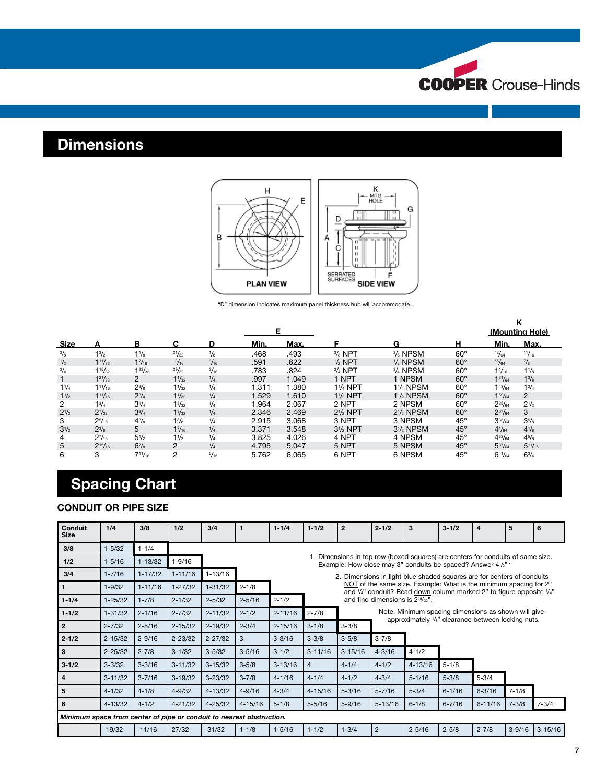

# **Dimensions**



"D" dimension indicates maximum panel thickness hub will accommodate.

|                |                |                |                 |               | Е.    |       |                    |                                    |              | κ<br>(Mounting Hole) |                |  |
|----------------|----------------|----------------|-----------------|---------------|-------|-------|--------------------|------------------------------------|--------------|----------------------|----------------|--|
| Size           | А              | в              | С               | D             | Min.  | Max.  |                    | G                                  | н            | Min.                 | Max.           |  |
| $\frac{3}{8}$  | $1\frac{3}{2}$ | $1\frac{1}{8}$ | 21/32           | $\frac{1}{8}$ | .468  | .493  | $3/8$ NPT          | 3/ <sub>8</sub> NPSM               | $60^\circ$   | 43/64                | 11/16          |  |
| $\frac{1}{2}$  | $1^{11}/_{32}$ | $1^{7}/_{16}$  | 13/16           | 3/16          | .591  | .622  | $1/2$ NPT          | $1/2$ NPSM                         | $60^\circ$   | 55/64                | $\frac{7}{8}$  |  |
| $^{3}/_{4}$    | $1^{15}/_{32}$ | $1^{23}/_{32}$ | 29/32           | 3/16          | .783  | .824  | $3/4$ NPT          | $3/4$ NPSM                         | $60^\circ$   | $1\frac{1}{16}$      | $1\frac{1}{8}$ |  |
| 1              | $1^{21}/_{32}$ | $\mathcal{P}$  | $1\frac{1}{32}$ | 1/4           | .997  | 1.049 | 1 NPT              | 1 NPSM                             | $60^\circ$   | $1^{21}/_{64}$       | $1\frac{3}{8}$ |  |
| 11/4           | $1^{11}/_{16}$ | $2^{3}/_{8}$   | $1\frac{1}{32}$ | $\frac{1}{4}$ | 1.311 | 1.380 | $1\frac{1}{4}$ NPT | <b>11/4 NPSM</b>                   | $60^\circ$   | 143/64               | $1^{3}/_{4}$   |  |
| $1\frac{1}{2}$ | $1^{11}/_{16}$ | $2^{3}/_{4}$   | $1\frac{1}{32}$ | $^{1}/_{4}$   | 1.529 | 1.610 | $1\frac{1}{2}$ NPT | $1\frac{1}{2}$ NPSM                | $60^\circ$   | $1^{59}/_{64}$       | $\overline{2}$ |  |
| $\overline{2}$ | $1^{3}/_{4}$   | $3^{1/4}$      | $1\frac{3}{32}$ | $\frac{1}{4}$ | 1.964 | 2.067 | 2 NPT              | 2 NPSM                             | $60^\circ$   | $2^{25}/_{64}$       | $2^{1/2}$      |  |
| $2^{1/2}$      | $2^{7}/_{32}$  | $3^{3}/_{4}$   | $1\frac{9}{32}$ | $\frac{1}{4}$ | 2.346 | 2.469 | $2\frac{1}{2}$ NPT | 2 <sup>1</sup> / <sub>2</sub> NPSM | $60^\circ$   | $2^{57}/_{64}$       | 3              |  |
| 3              | $2^{5}/_{16}$  | $4^{3}/_{8}$   | $1\frac{3}{8}$  | $\frac{1}{4}$ | 2.915 | 3.068 | 3 NPT              | 3 NPSM                             | $45^\circ$   | $3^{33}/_{64}$       | $3^{5}/_8$     |  |
| $3^{1/2}$      | $2^{3}/_{8}$   | 5              | $1^{7}/_{16}$   | $\frac{1}{4}$ | 3.371 | 3.548 | $3\frac{1}{2}$ NPT | $3\%$ NPSM                         | $45^{\circ}$ | $4\frac{1}{64}$      | $4\frac{1}{8}$ |  |
| 4              | $2^{7}/_{16}$  | $5\frac{1}{2}$ | $1\frac{1}{2}$  | $\frac{1}{4}$ | 3.825 | 4.026 | 4 NPT              | 4 NPSM                             | $45^{\circ}$ | $4^{33}/_{64}$       | $4^{5}/_{8}$   |  |
| 5              | $2^{15}/_{16}$ | $6^{7}/_{8}$   | 2               | $^{1}/_{4}$   | 4.795 | 5.047 | 5 NPT              | 5 NPSM                             | $45^{\circ}$ | $5^{37}/_{64}$       | $5^{11}/_{16}$ |  |
| 6              | 3              | $7^{11}/_{16}$ | 2               | 5/16          | 5.762 | 6.065 | 6 NPT              | 6 NPSM                             | $45^{\circ}$ | $6^{41}/_{64}$       | $6^{3}/_{4}$   |  |

# Spacing Chart

#### CONDUIT OR PIPE SIZE

| Conduit<br><b>Size</b>                                               | 1/4         | 3/8         | 1/2         | 3/4         |             | $1 - 1/4$                                                                                                                                     | $1 - 1/2$   | $\overline{2}$                                                                                                                                                                                                      | $2 - 1/2$                           | 3                                                                                                                      | $3 - 1/2$  | 4           | 5          | 6           |  |
|----------------------------------------------------------------------|-------------|-------------|-------------|-------------|-------------|-----------------------------------------------------------------------------------------------------------------------------------------------|-------------|---------------------------------------------------------------------------------------------------------------------------------------------------------------------------------------------------------------------|-------------------------------------|------------------------------------------------------------------------------------------------------------------------|------------|-------------|------------|-------------|--|
| 3/8                                                                  | $1 - 5/32$  | $1 - 1/4$   |             |             |             |                                                                                                                                               |             |                                                                                                                                                                                                                     |                                     |                                                                                                                        |            |             |            |             |  |
| 1/2                                                                  | $1 - 5/16$  | $1 - 13/32$ | $1 - 9/16$  |             |             | 1. Dimensions in top row (boxed squares) are centers for conduits of same size.<br>Example: How close may 3" conduits be spaced? Answer 41/2" |             |                                                                                                                                                                                                                     |                                     |                                                                                                                        |            |             |            |             |  |
| 3/4                                                                  | $1 - 7/16$  | $1 - 17/32$ | $1 - 11/16$ | $1 - 13/16$ |             |                                                                                                                                               |             | 2. Dimensions in light blue shaded squares are for centers of conduits<br>NOT of the same size. Example: What is the minimum spacing for 2"<br>and 3/4" conduit? Read down column marked 2" to figure opposite 3/4" |                                     |                                                                                                                        |            |             |            |             |  |
| 1                                                                    | $1 - 9/32$  | $1 - 11/16$ | $1 - 27/32$ | $1 - 31/32$ | $2 - 1/8$   |                                                                                                                                               |             |                                                                                                                                                                                                                     |                                     |                                                                                                                        |            |             |            |             |  |
| $1 - 1/4$                                                            | $1 - 25/32$ | $1 - 7/8$   | $2 - 1/32$  | $2 - 5/32$  | $2 - 5/16$  | $2 - 1/2$                                                                                                                                     |             |                                                                                                                                                                                                                     | and find dimensions is $2^{19}/2$ . |                                                                                                                        |            |             |            |             |  |
| $1 - 1/2$                                                            | $1 - 31/32$ | $2 - 1/16$  | $2 - 7/32$  | $2 - 11/32$ | $2 - 1/2$   | $2 - 11/16$                                                                                                                                   | $2 - 7/8$   |                                                                                                                                                                                                                     |                                     | Note. Minimum spacing dimensions as shown will give<br>approximately 1/ <sub>8</sub> " clearance between locking nuts. |            |             |            |             |  |
| $\overline{2}$                                                       | $2 - 7/32$  | $2 - 5/16$  | $2 - 15/32$ | $2 - 19/32$ | $2 - 3/4$   | $2 - 15/16$                                                                                                                                   | $3 - 1/8$   | $3 - 3/8$                                                                                                                                                                                                           |                                     |                                                                                                                        |            |             |            |             |  |
| $2 - 1/2$                                                            | $2 - 15/32$ | $2 - 9/16$  | $2 - 23/32$ | $2 - 27/32$ | 3           | $3 - 3/16$                                                                                                                                    | $3 - 3/8$   | $3 - 5/8$                                                                                                                                                                                                           | $3 - 7/8$                           |                                                                                                                        |            |             |            |             |  |
| 3                                                                    | $2 - 25/32$ | $2 - 7/8$   | $3 - 1/32$  | $3 - 5/32$  | $3 - 5/16$  | $3 - 1/2$                                                                                                                                     | $3 - 11/16$ | $3 - 15/16$                                                                                                                                                                                                         | $4 - 3/16$                          | $4 - 1/2$                                                                                                              |            |             |            |             |  |
| $3 - 1/2$                                                            | $3 - 3/32$  | $3 - 3/16$  | $3 - 11/32$ | $3 - 15/32$ | $3 - 5/8$   | $3 - 13/16$                                                                                                                                   | 4           | $4 - 1/4$                                                                                                                                                                                                           | $4 - 1/2$                           | $4 - 13/16$                                                                                                            | $5 - 1/8$  |             |            |             |  |
| 4                                                                    | $3 - 11/32$ | $3 - 7/16$  | $3 - 19/32$ | $3 - 23/32$ | $3 - 7/8$   | $4 - 1/16$                                                                                                                                    | $4 - 1/4$   | $4 - 1/2$                                                                                                                                                                                                           | $4 - 3/4$                           | $5 - 1/16$                                                                                                             | $5 - 3/8$  | $5 - 3/4$   |            |             |  |
| 5                                                                    | $4 - 1/32$  | $4 - 1/8$   | $4 - 9/32$  | $4 - 13/32$ | $4 - 9/16$  | $4 - 3/4$                                                                                                                                     | $4 - 15/16$ | $5 - 3/16$                                                                                                                                                                                                          | $5 - 7/16$                          | $5 - 3/4$                                                                                                              | $6 - 1/16$ | $6 - 3/16$  | $7 - 1/8$  |             |  |
| 6                                                                    | $4 - 13/32$ | $4 - 1/2$   | $4 - 21/32$ | $4 - 25/32$ | $4 - 15/16$ | $5 - 1/8$                                                                                                                                     | $5 - 5/16$  | $5 - 9/16$                                                                                                                                                                                                          | $5 - 13/16$                         | $6 - 1/8$                                                                                                              | $6 - 7/16$ | $6 - 11/16$ | $7 - 3/8$  | $7 - 3/4$   |  |
| Minimum space from center of pipe or conduit to nearest obstruction. |             |             |             |             |             |                                                                                                                                               |             |                                                                                                                                                                                                                     |                                     |                                                                                                                        |            |             |            |             |  |
|                                                                      | 19/32       | 11/16       | 27/32       | 31/32       | $1 - 1/8$   | $1 - 5/16$                                                                                                                                    | $1 - 1/2$   | $1 - 3/4$                                                                                                                                                                                                           | $\overline{2}$                      | $2 - 5/16$                                                                                                             | $2 - 5/8$  | $2 - 7/8$   | $3 - 9/16$ | $3 - 15/16$ |  |